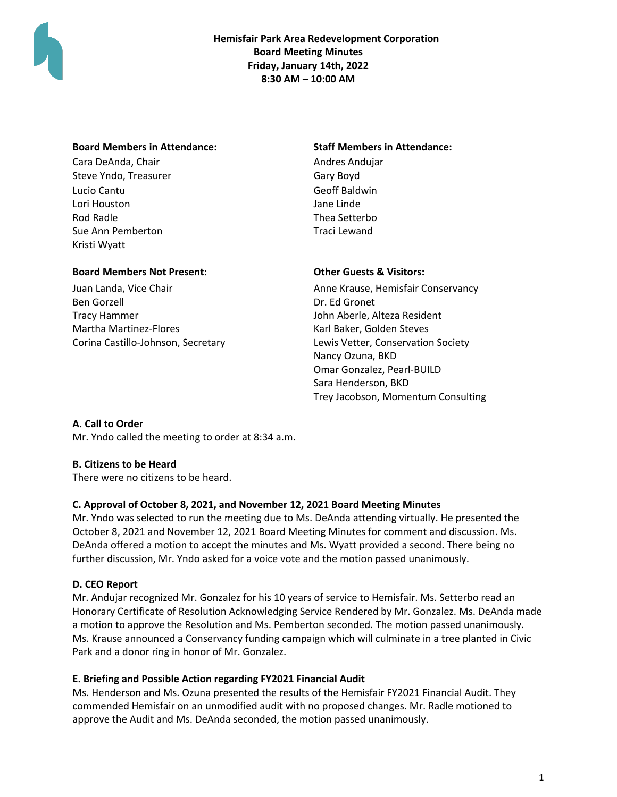

**Hemisfair Park Area Redevelopment Corporation Board Meeting Minutes Friday, January 14th, 2022 8:30 AM – 10:00 AM**

### **Board Members in Attendance: Staff Members in Attendance:**

Cara DeAnda, Chair **Andres Andujar** Andres Andujar Steve Yndo, Treasurer Gary Boyd Lucio Cantu Geoff Baldwin Lori Houston Jane Linde Rod Radle Sue Ann Pemberton Kristi Wyatt

Thea Setterbo Traci Lewand

## **Board Members Not Present: Other Guests & Visitors:**

Juan Landa, Vice Chair Ben Gorzell Tracy Hammer Martha Martinez-Flores Corina Castillo-Johnson, Secretary

Anne Krause, Hemisfair Conservancy Dr. Ed Gronet John Aberle, Alteza Resident Karl Baker, Golden Steves Lewis Vetter, Conservation Society Nancy Ozuna, BKD Omar Gonzalez, Pearl-BUILD Sara Henderson, BKD Trey Jacobson, Momentum Consulting

## **A. Call to Order**

Mr. Yndo called the meeting to order at 8:34 a.m.

## **B. Citizens to be Heard**

There were no citizens to be heard.

## **C. Approval of October 8, 2021, and November 12, 2021 Board Meeting Minutes**

Mr. Yndo was selected to run the meeting due to Ms. DeAnda attending virtually. He presented the October 8, 2021 and November 12, 2021 Board Meeting Minutes for comment and discussion. Ms. DeAnda offered a motion to accept the minutes and Ms. Wyatt provided a second. There being no further discussion, Mr. Yndo asked for a voice vote and the motion passed unanimously.

## **D. CEO Report**

Mr. Andujar recognized Mr. Gonzalez for his 10 years of service to Hemisfair. Ms. Setterbo read an Honorary Certificate of Resolution Acknowledging Service Rendered by Mr. Gonzalez. Ms. DeAnda made a motion to approve the Resolution and Ms. Pemberton seconded. The motion passed unanimously. Ms. Krause announced a Conservancy funding campaign which will culminate in a tree planted in Civic Park and a donor ring in honor of Mr. Gonzalez.

## **E. Briefing and Possible Action regarding FY2021 Financial Audit**

Ms. Henderson and Ms. Ozuna presented the results of the Hemisfair FY2021 Financial Audit. They commended Hemisfair on an unmodified audit with no proposed changes. Mr. Radle motioned to approve the Audit and Ms. DeAnda seconded, the motion passed unanimously.